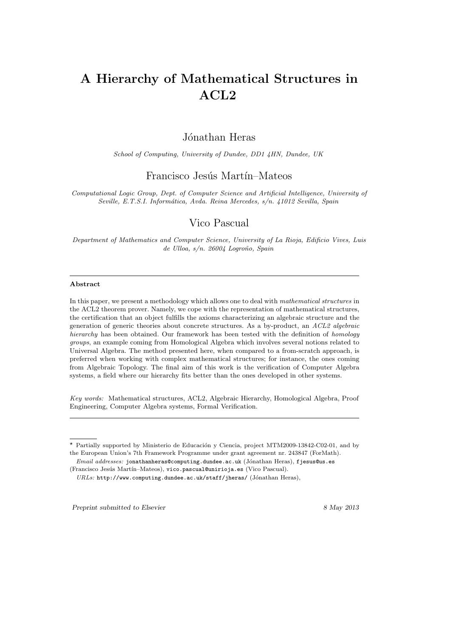# A Hierarchy of Mathematical Structures in ACL2

# Jónathan Heras

School of Computing, University of Dundee, DD1 4HN, Dundee, UK

# Francisco Jesús Martín–Mateos

Computational Logic Group, Dept. of Computer Science and Artificial Intelligence, University of Seville, E.T.S.I. Informática, Avda. Reina Mercedes, s/n. 41012 Sevilla, Spain

# Vico Pascual

Department of Mathematics and Computer Science, University of La Rioja, Edificio Vives, Luis de Ulloa,  $s/n. 26004$  Logroño, Spain

#### Abstract

In this paper, we present a methodology which allows one to deal with mathematical structures in the ACL2 theorem prover. Namely, we cope with the representation of mathematical structures, the certification that an object fulfills the axioms characterizing an algebraic structure and the generation of generic theories about concrete structures. As a by-product, an ACL2 algebraic hierarchy has been obtained. Our framework has been tested with the definition of homology groups, an example coming from Homological Algebra which involves several notions related to Universal Algebra. The method presented here, when compared to a from-scratch approach, is preferred when working with complex mathematical structures; for instance, the ones coming from Algebraic Topology. The final aim of this work is the verification of Computer Algebra systems, a field where our hierarchy fits better than the ones developed in other systems.

Key words: Mathematical structures, ACL2, Algebraic Hierarchy, Homological Algebra, Proof Engineering, Computer Algebra systems, Formal Verification.

Preprint submitted to Elsevier 8 May 2013

<sup>\*</sup> Partially supported by Ministerio de Educación y Ciencia, project MTM2009-13842-C02-01, and by the European Union's 7th Framework Programme under grant agreement nr. 243847 (ForMath).

Email addresses: jonathanheras@computing.dundee.ac.uk (Jónathan Heras), fjesus@us.es

<sup>(</sup>Francisco Jesús Martín–Mateos), vico.pascual@unirioja.es (Vico Pascual).

 $URLs: \text{http://www.computing.dundee.ac.uk/staff/jheras/} (Jónathan Heras),$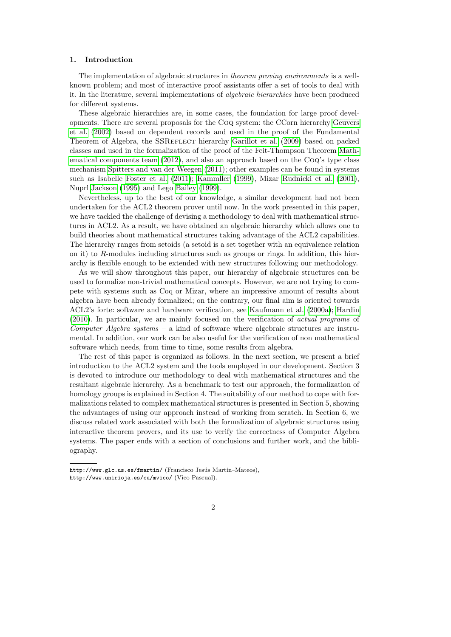### 1. Introduction

The implementation of algebraic structures in theorem proving environments is a wellknown problem; and most of interactive proof assistants offer a set of tools to deal with it. In the literature, several implementations of algebraic hierarchies have been produced for different systems.

These algebraic hierarchies are, in some cases, the foundation for large proof developments. There are several proposals for the Coq system: the CCorn hierarchy [Geuvers](#page-22-0) [et al.](#page-22-0) [\(2002\)](#page-22-0) based on dependent records and used in the proof of the Fundamental Theorem of Algebra, the SSREFLECT hierarchy [Garillot et al.](#page-22-1) [\(2009\)](#page-22-1) based on packed classes and used in the formalization of the proof of the Feit-Thompson Theorem [Math](#page-23-0)[ematical components team](#page-23-0) [\(2012\)](#page-23-0), and also an approach based on the Coq's type class mechanism [Spitters and van der Weegen](#page-24-0) [\(2011\)](#page-24-0); other examples can be found in systems such as Isabelle [Foster et al.](#page-22-2) [\(2011\)](#page-22-2); [Kammller](#page-23-1) [\(1999\)](#page-23-1), Mizar [Rudnicki et al.](#page-24-1) [\(2001\)](#page-24-1), Nuprl [Jackson](#page-22-3) [\(1995\)](#page-22-3) and Lego [Bailey](#page-21-0) [\(1999\)](#page-21-0).

Nevertheless, up to the best of our knowledge, a similar development had not been undertaken for the ACL2 theorem prover until now. In the work presented in this paper, we have tackled the challenge of devising a methodology to deal with mathematical structures in ACL2. As a result, we have obtained an algebraic hierarchy which allows one to build theories about mathematical structures taking advantage of the ACL2 capabilities. The hierarchy ranges from setoids (a setoid is a set together with an equivalence relation on it) to R-modules including structures such as groups or rings. In addition, this hierarchy is flexible enough to be extended with new structures following our methodology.

As we will show throughout this paper, our hierarchy of algebraic structures can be used to formalize non-trivial mathematical concepts. However, we are not trying to compete with systems such as Coq or Mizar, where an impressive amount of results about algebra have been already formalized; on the contrary, our final aim is oriented towards ACL2's forte: software and hardware verification, see [Kaufmann et al.](#page-23-2) [\(2000a\)](#page-23-2); [Hardin](#page-22-4) [\(2010\)](#page-22-4). In particular, we are mainly focused on the verification of actual programs of Computer Algebra systems – a kind of software where algebraic structures are instrumental. In addition, our work can be also useful for the verification of non mathematical software which needs, from time to time, some results from algebra.

The rest of this paper is organized as follows. In the next section, we present a brief introduction to the ACL2 system and the tools employed in our development. Section 3 is devoted to introduce our methodology to deal with mathematical structures and the resultant algebraic hierarchy. As a benchmark to test our approach, the formalization of homology groups is explained in Section 4. The suitability of our method to cope with formalizations related to complex mathematical structures is presented in Section 5, showing the advantages of using our approach instead of working from scratch. In Section 6, we discuss related work associated with both the formalization of algebraic structures using interactive theorem provers, and its use to verify the correctness of Computer Algebra systems. The paper ends with a section of conclusions and further work, and the bibliography.

http://www.glc.us.es/fmartin/ (Francisco Jesús Martín-Mateos), http://www.unirioja.es/cu/mvico/ (Vico Pascual).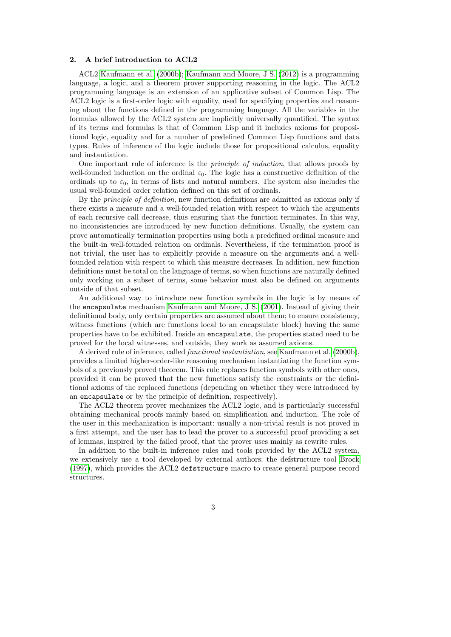#### 2. A brief introduction to ACL2

ACL2 [Kaufmann et al.](#page-23-3) [\(2000b\)](#page-23-3); [Kaufmann and Moore, J S.](#page-23-4) [\(2012\)](#page-23-4) is a programming language, a logic, and a theorem prover supporting reasoning in the logic. The ACL2 programming language is an extension of an applicative subset of Common Lisp. The ACL2 logic is a first-order logic with equality, used for specifying properties and reasoning about the functions defined in the programming language. All the variables in the formulas allowed by the ACL2 system are implicitly universally quantified. The syntax of its terms and formulas is that of Common Lisp and it includes axioms for propositional logic, equality and for a number of predefined Common Lisp functions and data types. Rules of inference of the logic include those for propositional calculus, equality and instantiation.

One important rule of inference is the principle of induction, that allows proofs by well-founded induction on the ordinal  $\varepsilon_0$ . The logic has a constructive definition of the ordinals up to  $\varepsilon_0$ , in terms of lists and natural numbers. The system also includes the usual well-founded order relation defined on this set of ordinals.

By the principle of definition, new function definitions are admitted as axioms only if there exists a measure and a well-founded relation with respect to which the arguments of each recursive call decrease, thus ensuring that the function terminates. In this way, no inconsistencies are introduced by new function definitions. Usually, the system can prove automatically termination properties using both a predefined ordinal measure and the built-in well-founded relation on ordinals. Nevertheless, if the termination proof is not trivial, the user has to explicitly provide a measure on the arguments and a wellfounded relation with respect to which this measure decreases. In addition, new function definitions must be total on the language of terms, so when functions are naturally defined only working on a subset of terms, some behavior must also be defined on arguments outside of that subset.

An additional way to introduce new function symbols in the logic is by means of the encapsulate mechanism [Kaufmann and Moore, J S.](#page-23-5) [\(2001\)](#page-23-5). Instead of giving their definitional body, only certain properties are assumed about them; to ensure consistency, witness functions (which are functions local to an encapsulate block) having the same properties have to be exhibited. Inside an encapsulate, the properties stated need to be proved for the local witnesses, and outside, they work as assumed axioms.

A derived rule of inference, called functional instantiation, see [Kaufmann et al.](#page-23-3) [\(2000b\)](#page-23-3), provides a limited higher-order-like reasoning mechanism instantiating the function symbols of a previously proved theorem. This rule replaces function symbols with other ones, provided it can be proved that the new functions satisfy the constraints or the definitional axioms of the replaced functions (depending on whether they were introduced by an encapsulate or by the principle of definition, respectively).

The ACL2 theorem prover mechanizes the ACL2 logic, and is particularly successful obtaining mechanical proofs mainly based on simplification and induction. The role of the user in this mechanization is important: usually a non-trivial result is not proved in a first attempt, and the user has to lead the prover to a successful proof providing a set of lemmas, inspired by the failed proof, that the prover uses mainly as rewrite rules.

In addition to the built-in inference rules and tools provided by the ACL2 system, we extensively use a tool developed by external authors: the defstructure tool [Brock](#page-21-1) [\(1997\)](#page-21-1), which provides the ACL2 defstructure macro to create general purpose record structures.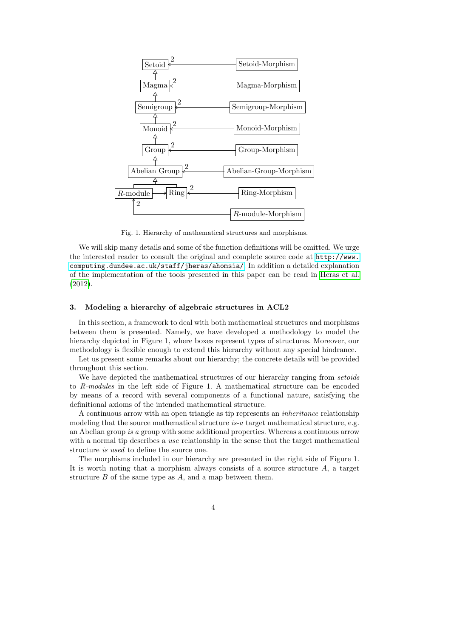

Fig. 1. Hierarchy of mathematical structures and morphisms.

We will skip many details and some of the function definitions will be omitted. We urge the interested reader to consult the original and complete source code at [http://www.](http://www.computing.dundee.ac.uk/staff/jheras/ahomsia/) [computing.dundee.ac.uk/staff/jheras/ahomsia/](http://www.computing.dundee.ac.uk/staff/jheras/ahomsia/). In addition a detailed explanation of the implementation of the tools presented in this paper can be read in [Heras et al.](#page-22-5) [\(2012\)](#page-22-5).

#### 3. Modeling a hierarchy of algebraic structures in ACL2

In this section, a framework to deal with both mathematical structures and morphisms between them is presented. Namely, we have developed a methodology to model the hierarchy depicted in Figure 1, where boxes represent types of structures. Moreover, our methodology is flexible enough to extend this hierarchy without any special hindrance.

Let us present some remarks about our hierarchy; the concrete details will be provided throughout this section.

We have depicted the mathematical structures of our hierarchy ranging from *setoids* to R-modules in the left side of Figure 1. A mathematical structure can be encoded by means of a record with several components of a functional nature, satisfying the definitional axioms of the intended mathematical structure.

A continuous arrow with an open triangle as tip represents an inheritance relationship modeling that the source mathematical structure  $is-a$  target mathematical structure, e.g. an Abelian group is a group with some additional properties. Whereas a continuous arrow with a normal tip describes a use relationship in the sense that the target mathematical structure is used to define the source one.

The morphisms included in our hierarchy are presented in the right side of Figure 1. It is worth noting that a morphism always consists of a source structure A, a target structure  $B$  of the same type as  $A$ , and a map between them.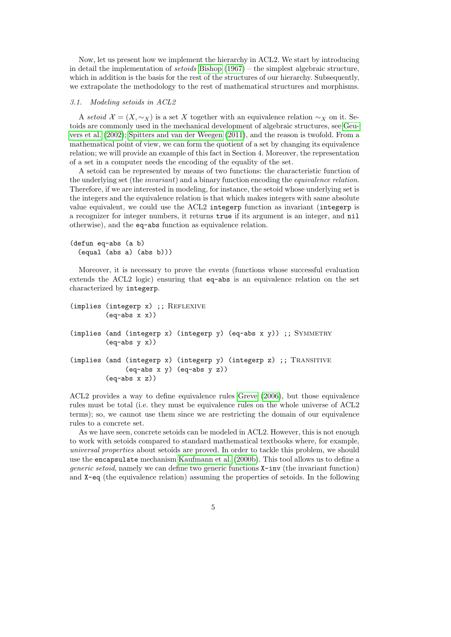Now, let us present how we implement the hierarchy in ACL2. We start by introducing in detail the implementation of setoids [Bishop](#page-21-2) [\(1967\)](#page-21-2) – the simplest algebraic structure, which in addition is the basis for the rest of the structures of our hierarchy. Subsequently, we extrapolate the methodology to the rest of mathematical structures and morphisms.

### 3.1. Modeling setoids in ACL2

A setoid  $\mathcal{X} = (X, \sim_X)$  is a set X together with an equivalence relation  $\sim_X$  on it. Setoids are commonly used in the mechanical development of algebraic structures, see [Geu](#page-22-0)[vers et al.](#page-22-0) [\(2002\)](#page-22-0); [Spitters and van der Weegen](#page-24-0) [\(2011\)](#page-24-0), and the reason is twofold. From a mathematical point of view, we can form the quotient of a set by changing its equivalence relation; we will provide an example of this fact in Section 4. Moreover, the representation of a set in a computer needs the encoding of the equality of the set.

A setoid can be represented by means of two functions: the characteristic function of the underlying set (the invariant) and a binary function encoding the equivalence relation. Therefore, if we are interested in modeling, for instance, the setoid whose underlying set is the integers and the equivalence relation is that which makes integers with same absolute value equivalent, we could use the ACL2 integerp function as invariant (integerp is a recognizer for integer numbers, it returns true if its argument is an integer, and nil otherwise), and the eq-abs function as equivalence relation.

```
(defun eq-abs (a b)
 (equal (abs a) (abs b)))
```
Moreover, it is necessary to prove the events (functions whose successful evaluation extends the ACL2 logic) ensuring that eq-abs is an equivalence relation on the set characterized by integerp.

```
(implies (integerp x) ;; REFLEXIVE
         (eq-abs x x))
(implies (and (integerp x) (integerp y) (eq-abs x y)) ;; SYMMETRY
         (eq-abs y x))
(implies (and (integerp x) (integerp y) (integerp z) ;; Transitive
              (eq-abs x y) (eq-abs y z))
         (eq-abs x z))
```
ACL2 provides a way to define equivalence rules [Greve](#page-22-6) [\(2006\)](#page-22-6), but those equivalence rules must be total (i.e. they must be equivalence rules on the whole universe of ACL2 terms); so, we cannot use them since we are restricting the domain of our equivalence rules to a concrete set.

As we have seen, concrete setoids can be modeled in ACL2. However, this is not enough to work with setoids compared to standard mathematical textbooks where, for example, universal properties about setoids are proved. In order to tackle this problem, we should use the encapsulate mechanism [Kaufmann et al.](#page-23-3) [\(2000b\)](#page-23-3). This tool allows us to define a generic setoid, namely we can define two generic functions X-inv (the invariant function) and X-eq (the equivalence relation) assuming the properties of setoids. In the following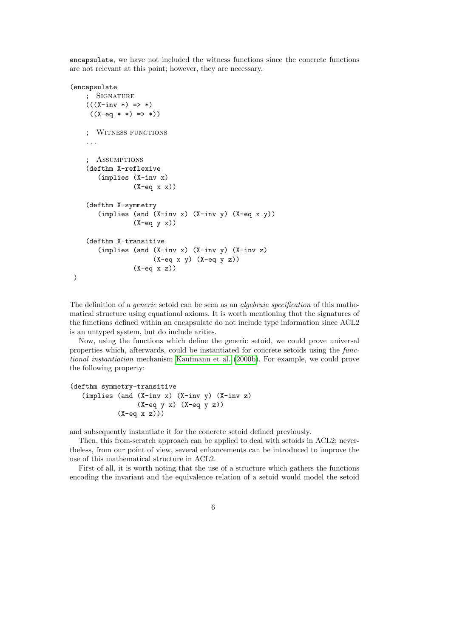encapsulate, we have not included the witness functions since the concrete functions are not relevant at this point; however, they are necessary.

```
(encapsulate
```

```
; SIGNATURE
   (((X-inv *) \Rightarrow *)((X-eq * *) = > *); Witness functions
   ...
   ; Assumptions
   (defthm X-reflexive
       (implies (X-inv x)
                 (X-eq x x)(defthm X-symmetry
       (\text{implies } (\text{and } (X\text{-inv } x) (X\text{-inv } y) (X\text{-eq } x y))(X-eq y x)(defthm X-transitive
       (implies (and (X-inv x) (X-inv y) (X-inv z)
                       (X-eq x y) (X-eq y z))
                 (X-eq x z))
)
```
The definition of a *generic* setoid can be seen as an *algebraic specification* of this mathematical structure using equational axioms. It is worth mentioning that the signatures of the functions defined within an encapsulate do not include type information since ACL2 is an untyped system, but do include arities.

Now, using the functions which define the generic setoid, we could prove universal properties which, afterwards, could be instantiated for concrete setoids using the functional instantiation mechanism [Kaufmann et al.](#page-23-3) [\(2000b\)](#page-23-3). For example, we could prove the following property:

```
(defthm symmetry-transitive
  (implies (and (X-inv x) (X-inv y) (X-inv z)
                (X-eq y x) (X-eq y z)(X-eq x z))
```
and subsequently instantiate it for the concrete setoid defined previously.

Then, this from-scratch approach can be applied to deal with setoids in ACL2; nevertheless, from our point of view, several enhancements can be introduced to improve the use of this mathematical structure in ACL2.

First of all, it is worth noting that the use of a structure which gathers the functions encoding the invariant and the equivalence relation of a setoid would model the setoid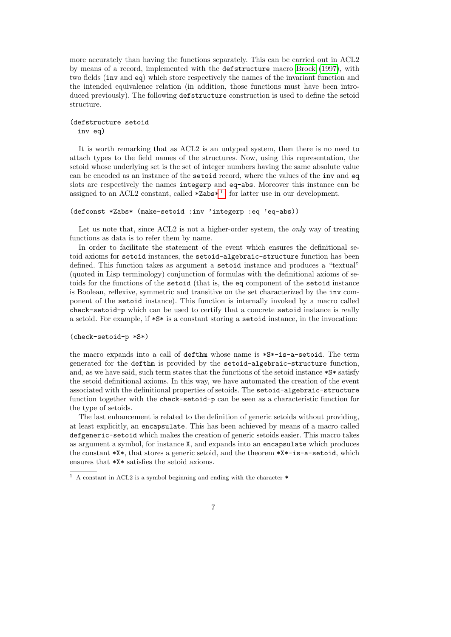more accurately than having the functions separately. This can be carried out in ACL2 by means of a record, implemented with the defstructure macro [Brock](#page-21-1) [\(1997\)](#page-21-1), with two fields (inv and eq) which store respectively the names of the invariant function and the intended equivalence relation (in addition, those functions must have been introduced previously). The following defstructure construction is used to define the setoid structure.

#### (defstructure setoid inv eq)

It is worth remarking that as ACL2 is an untyped system, then there is no need to attach types to the field names of the structures. Now, using this representation, the setoid whose underlying set is the set of integer numbers having the same absolute value can be encoded as an instance of the setoid record, where the values of the inv and eq slots are respectively the names integerp and eq-abs. Moreover this instance can be assigned to an ACL2 constant, called  $*Zabs*<sup>1</sup>$  $*Zabs*<sup>1</sup>$  $*Zabs*<sup>1</sup>$ , for latter use in our development.

# (defconst \*Zabs\* (make-setoid :inv 'integerp :eq 'eq-abs))

Let us note that, since  $\Lambda CL2$  is not a higher-order system, the *only* way of treating functions as data is to refer them by name.

In order to facilitate the statement of the event which ensures the definitional setoid axioms for setoid instances, the setoid-algebraic-structure function has been defined. This function takes as argument a setoid instance and produces a "textual" (quoted in Lisp terminology) conjunction of formulas with the definitional axioms of setoids for the functions of the setoid (that is, the eq component of the setoid instance is Boolean, reflexive, symmetric and transitive on the set characterized by the inv component of the setoid instance). This function is internally invoked by a macro called check-setoid-p which can be used to certify that a concrete setoid instance is really a setoid. For example, if \*S\* is a constant storing a setoid instance, in the invocation:

#### (check-setoid-p \*S\*)

the macro expands into a call of defthm whose name is \*S\*-is-a-setoid. The term generated for the defthm is provided by the setoid-algebraic-structure function, and, as we have said, such term states that the functions of the setoid instance  $*S*$  satisfy the setoid definitional axioms. In this way, we have automated the creation of the event associated with the definitional properties of setoids. The setoid-algebraic-structure function together with the check-setoid-p can be seen as a characteristic function for the type of setoids.

The last enhancement is related to the definition of generic setoids without providing, at least explicitly, an encapsulate. This has been achieved by means of a macro called defgeneric-setoid which makes the creation of generic setoids easier. This macro takes as argument a symbol, for instance X, and expands into an encapsulate which produces the constant \*X\*, that stores a generic setoid, and the theorem \*X\*-is-a-setoid, which ensures that \*X\* satisfies the setoid axioms.

<span id="page-6-0"></span> $^1\,$  A constant in ACL2 is a symbol beginning and ending with the character  $\ast$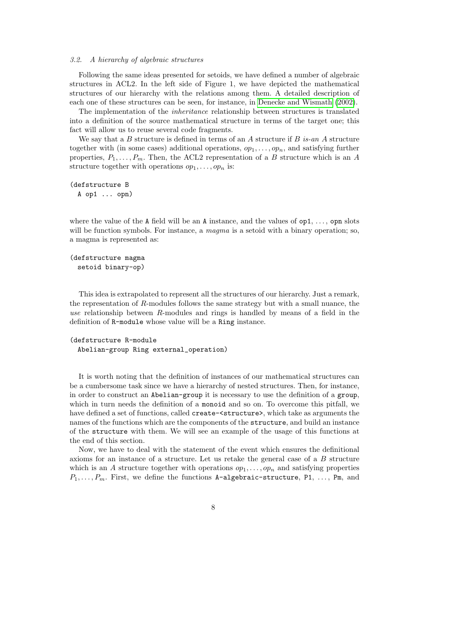#### 3.2. A hierarchy of algebraic structures

Following the same ideas presented for setoids, we have defined a number of algebraic structures in ACL2. In the left side of Figure 1, we have depicted the mathematical structures of our hierarchy with the relations among them. A detailed description of each one of these structures can be seen, for instance, in [Denecke and Wismath](#page-22-7) [\(2002\)](#page-22-7).

The implementation of the inheritance relationship between structures is translated into a definition of the source mathematical structure in terms of the target one; this fact will allow us to reuse several code fragments.

We say that a  $B$  structure is defined in terms of an  $A$  structure if  $B$  is-an  $A$  structure together with (in some cases) additional operations,  $op_1, \ldots, op_n$ , and satisfying further properties,  $P_1, \ldots, P_m$ . Then, the ACL2 representation of a B structure which is an A structure together with operations  $op_1, \ldots, op_n$  is:

(defstructure B A op1 ... opn)

where the value of the A field will be an A instance, and the values of  $\text{op1}, \ldots$  opn slots will be function symbols. For instance, a magma is a setoid with a binary operation; so, a magma is represented as:

```
(defstructure magma
 setoid binary-op)
```
This idea is extrapolated to represent all the structures of our hierarchy. Just a remark, the representation of R-modules follows the same strategy but with a small nuance, the use relationship between  $R$ -modules and rings is handled by means of a field in the definition of R-module whose value will be a Ring instance.

### (defstructure R-module Abelian-group Ring external\_operation)

It is worth noting that the definition of instances of our mathematical structures can be a cumbersome task since we have a hierarchy of nested structures. Then, for instance, in order to construct an Abelian-group it is necessary to use the definition of a group, which in turn needs the definition of a monoid and so on. To overcome this pitfall, we have defined a set of functions, called create- $\texttt{-structure}$ , which take as arguments the names of the functions which are the components of the structure, and build an instance of the structure with them. We will see an example of the usage of this functions at the end of this section.

Now, we have to deal with the statement of the event which ensures the definitional axioms for an instance of a structure. Let us retake the general case of a B structure which is an A structure together with operations  $op_1, \ldots, op_n$  and satisfying properties  $P_1, \ldots, P_m$ . First, we define the functions A-algebraic-structure, P1, ..., Pm, and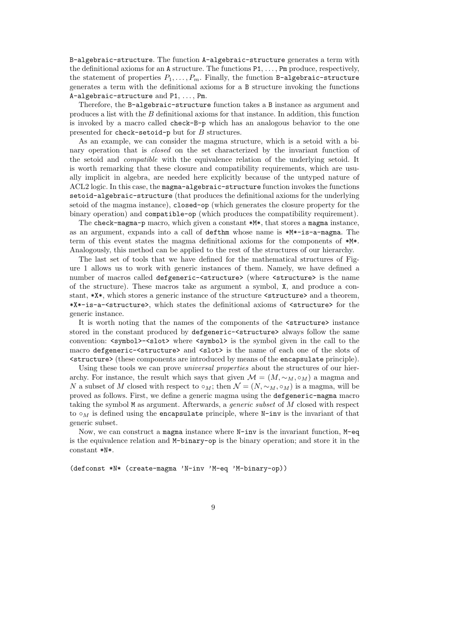B-algebraic-structure. The function A-algebraic-structure generates a term with the definitional axioms for an A structure. The functions P1, . . . , Pm produce, respectively, the statement of properties  $P_1, \ldots, P_m$ . Finally, the function B-algebraic-structure generates a term with the definitional axioms for a B structure invoking the functions A-algebraic-structure and P1, ..., Pm.

Therefore, the B-algebraic-structure function takes a B instance as argument and produces a list with the B definitional axioms for that instance. In addition, this function is invoked by a macro called check-B-p which has an analogous behavior to the one presented for check-setoid-p but for B structures.

As an example, we can consider the magma structure, which is a setoid with a binary operation that is *closed* on the set characterized by the invariant function of the setoid and compatible with the equivalence relation of the underlying setoid. It is worth remarking that these closure and compatibility requirements, which are usually implicit in algebra, are needed here explicitly because of the untyped nature of ACL2 logic. In this case, the magma-algebraic-structure function invokes the functions setoid-algebraic-structure (that produces the definitional axioms for the underlying setoid of the magma instance), closed-op (which generates the closure property for the binary operation) and compatible-op (which produces the compatibility requirement).

The check-magma-p macro, which given a constant \*M\*, that stores a magma instance, as an argument, expands into a call of defthm whose name is \*M\*-is-a-magma. The term of this event states the magma definitional axioms for the components of \*M\*. Analogously, this method can be applied to the rest of the structures of our hierarchy.

The last set of tools that we have defined for the mathematical structures of Figure 1 allows us to work with generic instances of them. Namely, we have defined a number of macros called defgeneric-<structure> (where <structure> is the name of the structure). These macros take as argument a symbol, X, and produce a constant, \*X\*, which stores a generic instance of the structure  $\leq$  structure  $\geq$  and a theorem, \*X\*-is-a-<structure>, which states the definitional axioms of <structure> for the generic instance.

It is worth noting that the names of the components of the <structure> instance stored in the constant produced by defgeneric-<structure> always follow the same convention: <symbol>-<slot> where <symbol> is the symbol given in the call to the macro defgeneric- $\text{1}$ -structure> and  $\text{1}$  slot> is the name of each one of the slots of <structure> (these components are introduced by means of the encapsulate principle).

Using these tools we can prove universal properties about the structures of our hierarchy. For instance, the result which says that given  $\mathcal{M} = (M, \sim_M, \circ_M)$  a magma and N a subset of M closed with respect to  $\circ_M$ ; then  $\mathcal{N} = (N, \sim_M, \circ_M)$  is a magma, will be proved as follows. First, we define a generic magma using the defgeneric-magma macro taking the symbol M as argument. Afterwards, a generic subset of M closed with respect to  $\circ_M$  is defined using the encapsulate principle, where N-inv is the invariant of that generic subset.

Now, we can construct a magma instance where N-inv is the invariant function, M-eq is the equivalence relation and M-binary-op is the binary operation; and store it in the constant \*N\*.

(defconst \*N\* (create-magma 'N-inv 'M-eq 'M-binary-op))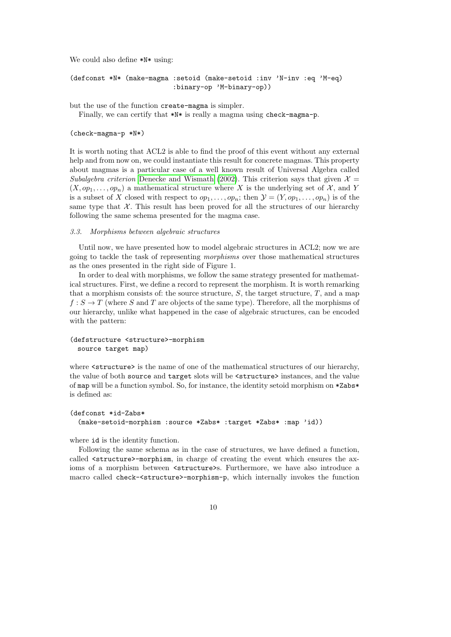We could also define  $*N*$  using:

```
(defconst *N* (make-magma :setoid (make-setoid :inv 'N-inv :eq 'M-eq)
                          :binary-op 'M-binary-op))
```
but the use of the function create-magma is simpler.

Finally, we can certify that \*N\* is really a magma using check-magma-p.

(check-magma-p \*N\*)

It is worth noting that ACL2 is able to find the proof of this event without any external help and from now on, we could instantiate this result for concrete magmas. This property about magmas is a particular case of a well known result of Universal Algebra called Subalgebra criterion [Denecke and Wismath](#page-22-7) [\(2002\)](#page-22-7). This criterion says that given  $\mathcal{X} =$  $(X, op_1, \ldots, op_n)$  a mathematical structure where X is the underlying set of X, and Y is a subset of X closed with respect to  $op_1, \ldots, op_n$ ; then  $\mathcal{Y} = (Y, op_1, \ldots, op_n)$  is of the same type that  $X$ . This result has been proved for all the structures of our hierarchy following the same schema presented for the magma case.

#### 3.3. Morphisms between algebraic structures

Until now, we have presented how to model algebraic structures in ACL2; now we are going to tackle the task of representing morphisms over those mathematical structures as the ones presented in the right side of Figure 1.

In order to deal with morphisms, we follow the same strategy presented for mathematical structures. First, we define a record to represent the morphism. It is worth remarking that a morphism consists of: the source structure,  $S$ , the target structure,  $T$ , and a map  $f: S \to T$  (where S and T are objects of the same type). Therefore, all the morphisms of our hierarchy, unlike what happened in the case of algebraic structures, can be encoded with the pattern:

```
(defstructure <structure>-morphism
 source target map)
```
where  $\leq$  structure $\geq$  is the name of one of the mathematical structures of our hierarchy, the value of both source and target slots will be  $\leq$  structure> instances, and the value of map will be a function symbol. So, for instance, the identity setoid morphism on \*Zabs\* is defined as:

```
(defconst *id-Zabs*
  (make-setoid-morphism :source *Zabs* :target *Zabs* :map 'id))
```
where  $id$  is the identity function.

Following the same schema as in the case of structures, we have defined a function, called <structure>-morphism, in charge of creating the event which ensures the axioms of a morphism between <structure>s. Furthermore, we have also introduce a macro called check-<structure>-morphism-p, which internally invokes the function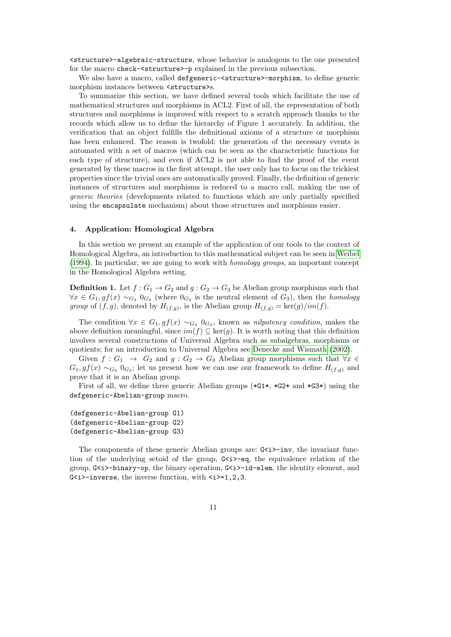<structure>-algebraic-structure, whose behavior is analogous to the one presented for the macro check-<structure>-p explained in the previous subsection.

We also have a macro, called defgeneric-<structure>-morphism, to define generic morphism instances between <structure>s.

To summarize this section, we have defined several tools which facilitate the use of mathematical structures and morphisms in ACL2. First of all, the representation of both structures and morphisms is improved with respect to a scratch approach thanks to the records which allow us to define the hierarchy of Figure 1 accurately. In addition, the verification that an object fulfills the definitional axioms of a structure or morphism has been enhanced. The reason is twofold: the generation of the necessary events is automated with a set of macros (which can be seen as the characteristic functions for each type of structure), and even if ACL2 is not able to find the proof of the event generated by these macros in the first attempt, the user only has to focus on the trickiest properties since the trivial ones are automatically proved. Finally, the definition of generic instances of structures and morphisms is reduced to a macro call, making the use of generic theories (developments related to functions which are only partially specified using the encapsulate mechanism) about those structures and morphisms easier.

#### 4. Application: Homological Algebra

In this section we present an example of the application of our tools to the context of Homological Algebra, an introduction to this mathematical subject can be seen in [Weibel](#page-24-2) [\(1994\)](#page-24-2). In particular, we are going to work with homology groups, an important concept in the Homological Algebra setting.

**Definition 1.** Let  $f: G_1 \to G_2$  and  $g: G_2 \to G_3$  be Abelian group morphisms such that  $\forall x \in G_1, gf(x) \sim_{G_3} 0_{G_3}$  (where  $0_{G_3}$  is the neutral element of  $G_3$ ), then the *homology group* of  $(f, g)$ , denoted by  $H_{(f,g)}$ , is the Abelian group  $H_{(f,g)} = \text{ker}(g)/\text{im}(f)$ .

The condition  $\forall x \in G_1, gf(x) \sim_{G_3} 0_{G_3}$ , known as *nilpotency condition*, makes the above definition meaningful, since  $im(f) \subseteq \text{ker}(g)$ . It is worth noting that this definition involves several constructions of Universal Algebra such as subalgebras, morphisms or quotients; for an introduction to Universal Algebra see [Denecke and Wismath](#page-22-7) [\(2002\)](#page-22-7).

Given  $f: G_1 \to G_2$  and  $g: G_2 \to G_3$  Abelian group morphisms such that  $\forall x \in G_1$  $G_1, gf(x) \sim_{G_3} 0_{G_3}$ ; let us present how we can use our framework to define  $H_{(f,g)}$  and prove that it is an Abelian group.

First of all, we define three generic Abelian groups ( $*G1*, *G2*$  and  $*G3*)$  using the defgeneric-Abelian-group macro.

(defgeneric-Abelian-group G1) (defgeneric-Abelian-group G2) (defgeneric-Abelian-group G3)

The components of these generic Abelian groups are:  $G\leq i$  invariant function of the underlying setoid of the group, G<i>-eq, the equivalence relation of the group, G<i>-binary-op, the binary operation, G<i>-id-elem, the identity element, and G*-inverse, the inverse function, with*  $*i*$ *-1, 2, 3.*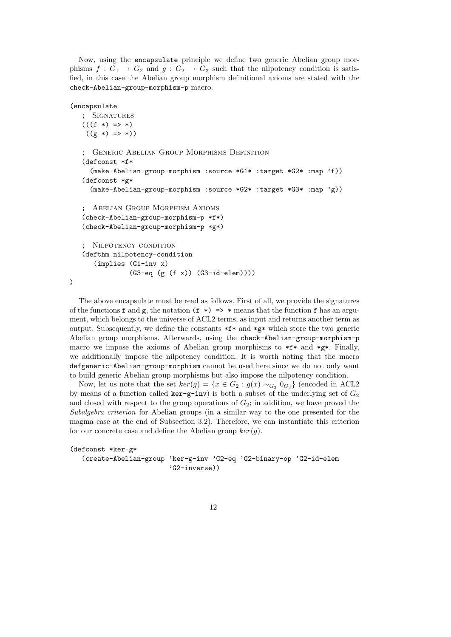```
Now, using the encapsulate principle we define two generic Abelian group mor-
phisms f: G_1 \to G_2 and g: G_2 \to G_3 such that the nilpotency condition is satis-
fied, in this case the Abelian group morphism definitional axioms are stated with the
check-Abelian-group-morphism-p macro.
```

```
(encapsulate
   ; Signatures
   (((f *) \Rightarrow *)((g *) \Rightarrow *); Generic Abelian Group Morphisms Definition
   (defconst *f*
     (make-Abelian-group-morphism :source *G1* :target *G2* :map 'f))
   (defconst *g*
     (make-Abelian-group-morphism :source *G2* :target *G3* :map 'g))
   ; Abelian Group Morphism Axioms
   (check-Abelian-group-morphism-p *f*)
   (check-Abelian-group-morphism-p *g*)
   ; Nilpotency condition
   (defthm nilpotency-condition
      (implies (G1-inv x)
               (G3-eq (g (f x)) (G3-id-elem))))
)
```
The above encapsulate must be read as follows. First of all, we provide the signatures of the functions f and g, the notation  $(f * )$  =>  $*$  means that the function f has an argument, which belongs to the universe of ACL2 terms, as input and returns another term as output. Subsequently, we define the constants \*f\* and \*g\* which store the two generic Abelian group morphisms. Afterwards, using the check-Abelian-group-morphism-p macro we impose the axioms of Abelian group morphisms to  $*f*$  and  $*g*$ . Finally, we additionally impose the nilpotency condition. It is worth noting that the macro defgeneric-Abelian-group-morphism cannot be used here since we do not only want to build generic Abelian group morphisms but also impose the nilpotency condition.

Now, let us note that the set  $ker(g) = \{x \in G_2 : g(x) \sim_{G_3} 0_{G_3}\}\$  (encoded in ACL2 by means of a function called ker-g-inv) is both a subset of the underlying set of  $G_2$ and closed with respect to the group operations of  $G_2$ ; in addition, we have proved the Subalgebra criterion for Abelian groups (in a similar way to the one presented for the magma case at the end of Subsection 3.2). Therefore, we can instantiate this criterion for our concrete case and define the Abelian group  $ker(g)$ .

```
(defconst *ker-g*
   (create-Abelian-group 'ker-g-inv 'G2-eq 'G2-binary-op 'G2-id-elem
                         'G2-inverse))
```

```
12
```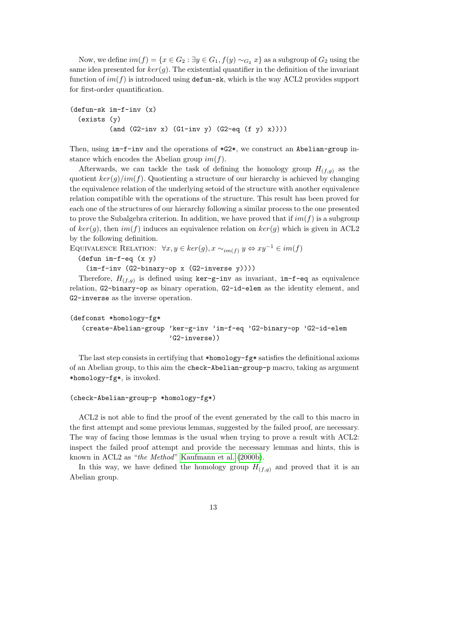Now, we define  $im(f) = \{x \in G_2 : \exists y \in G_1, f(y) \sim_{G_2} x\}$  as a subgroup of  $G_2$  using the same idea presented for  $ker(g)$ . The existential quantifier in the definition of the invariant function of  $im(f)$  is introduced using defun-sk, which is the way ACL2 provides support for first-order quantification.

```
(defun-sk im-f-inv (x)
  (exists (y)
          (and (G2-inv x) (G1-inv y) (G2-eq (f y) x)))
```
Then, using  $im-f-inv$  and the operations of  $*G2*$ , we construct an Abelian-group instance which encodes the Abelian group  $im(f)$ .

Afterwards, we can tackle the task of defining the homology group  $H_{(f,g)}$  as the quotient  $\ker(g)/im(f)$ . Quotienting a structure of our hierarchy is achieved by changing the equivalence relation of the underlying setoid of the structure with another equivalence relation compatible with the operations of the structure. This result has been proved for each one of the structures of our hierarchy following a similar process to the one presented to prove the Subalgebra criterion. In addition, we have proved that if  $im(f)$  is a subgroup of  $ker(q)$ , then  $im(f)$  induces an equivalence relation on  $ker(q)$  which is given in ACL2 by the following definition.

EQUIVALENCE RELATION:  $\forall x, y \in \text{ker}(g), x \sim_{\text{im}(f)} y \Leftrightarrow xy^{-1} \in \text{im}(f)$ 

(defun im-f-eq (x y)

(im-f-inv (G2-binary-op x (G2-inverse y))))

Therefore,  $H_{(f,g)}$  is defined using ker-g-inv as invariant, im-f-eq as equivalence relation, G2-binary-op as binary operation, G2-id-elem as the identity element, and G2-inverse as the inverse operation.

```
(defconst *homology-fg*
```

```
(create-Abelian-group 'ker-g-inv 'im-f-eq 'G2-binary-op 'G2-id-elem
                      'G2-inverse))
```
The last step consists in certifying that \*homology- $f$ g\* satisfies the definitional axioms of an Abelian group, to this aim the check-Abelian-group-p macro, taking as argument \*homology-fg\*, is invoked.

### (check-Abelian-group-p \*homology-fg\*)

ACL2 is not able to find the proof of the event generated by the call to this macro in the first attempt and some previous lemmas, suggested by the failed proof, are necessary. The way of facing those lemmas is the usual when trying to prove a result with ACL2: inspect the failed proof attempt and provide the necessary lemmas and hints, this is known in ACL2 as "the Method" [Kaufmann et al.](#page-23-3) [\(2000b\)](#page-23-3).

In this way, we have defined the homology group  $H_{(f,g)}$  and proved that it is an Abelian group.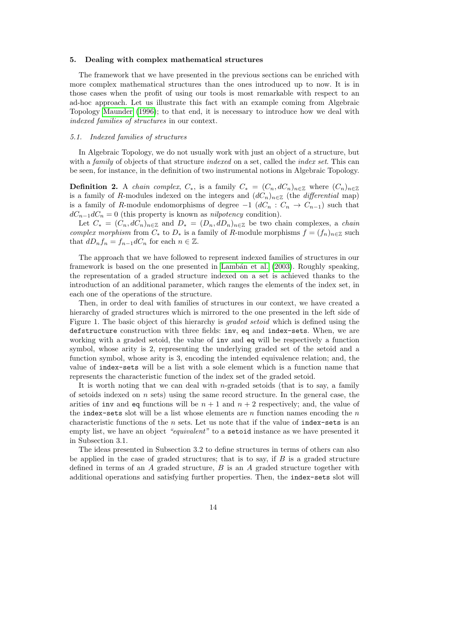#### 5. Dealing with complex mathematical structures

The framework that we have presented in the previous sections can be enriched with more complex mathematical structures than the ones introduced up to now. It is in those cases when the profit of using our tools is most remarkable with respect to an ad-hoc approach. Let us illustrate this fact with an example coming from Algebraic Topology [Maunder](#page-23-6) [\(1996\)](#page-23-6); to that end, it is necessary to introduce how we deal with indexed families of structures in our context.

### 5.1. Indexed families of structures

In Algebraic Topology, we do not usually work with just an object of a structure, but with a *family* of objects of that structure *indexed* on a set, called the *index set*. This can be seen, for instance, in the definition of two instrumental notions in Algebraic Topology.

**Definition 2.** A *chain complex,*  $C_*$ , is a family  $C_* = (C_n, dC_n)_{n \in \mathbb{Z}}$  where  $(C_n)_{n \in \mathbb{Z}}$ is a family of R-modules indexed on the integers and  $(dC_n)_{n\in\mathbb{Z}}$  (the *differential* map) is a family of R-module endomorphisms of degree  $-1$   $(dC_n : C_n \rightarrow C_{n-1})$  such that  $dC_{n-1}dC_n = 0$  (this property is known as *nilpotency* condition).

Let  $C_* = (C_n, dC_n)_{n \in \mathbb{Z}}$  and  $D_* = (D_n, dD_n)_{n \in \mathbb{Z}}$  be two chain complexes, a *chain* complex morphism from  $C_*$  to  $D_*$  is a family of R-module morphisms  $f = (f_n)_{n \in \mathbb{Z}}$  such that  $dD_nf_n = f_{n-1}dC_n$  for each  $n \in \mathbb{Z}$ .

The approach that we have followed to represent indexed families of structures in our framework is based on the one presented in Lambán et al. [\(2003\)](#page-23-7). Roughly speaking, the representation of a graded structure indexed on a set is achieved thanks to the introduction of an additional parameter, which ranges the elements of the index set, in each one of the operations of the structure.

Then, in order to deal with families of structures in our context, we have created a hierarchy of graded structures which is mirrored to the one presented in the left side of Figure 1. The basic object of this hierarchy is graded setoid which is defined using the defstructure construction with three fields: inv, eq and index-sets. When, we are working with a graded setoid, the value of inv and eq will be respectively a function symbol, whose arity is 2, representing the underlying graded set of the setoid and a function symbol, whose arity is 3, encoding the intended equivalence relation; and, the value of index-sets will be a list with a sole element which is a function name that represents the characteristic function of the index set of the graded setoid.

It is worth noting that we can deal with n-graded setoids (that is to say, a family of setoids indexed on  $n$  sets) using the same record structure. In the general case, the arities of inv and eq functions will be  $n + 1$  and  $n + 2$  respectively; and, the value of the index-sets slot will be a list whose elements are  $n$  function names encoding the  $n$ characteristic functions of the  $n$  sets. Let us note that if the value of index-sets is an empty list, we have an object "equivalent" to a setoid instance as we have presented it in Subsection 3.1.

The ideas presented in Subsection 3.2 to define structures in terms of others can also be applied in the case of graded structures; that is to say, if  $B$  is a graded structure defined in terms of an  $A$  graded structure,  $B$  is an  $A$  graded structure together with additional operations and satisfying further properties. Then, the index-sets slot will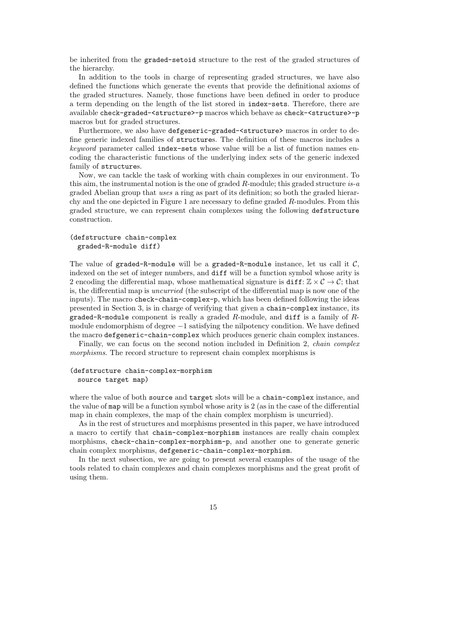be inherited from the graded-setoid structure to the rest of the graded structures of the hierarchy.

In addition to the tools in charge of representing graded structures, we have also defined the functions which generate the events that provide the definitional axioms of the graded structures. Namely, those functions have been defined in order to produce a term depending on the length of the list stored in index-sets. Therefore, there are available check-graded-<structure>-p macros which behave as check-<structure>-p macros but for graded structures.

Furthermore, we also have defgeneric-graded-<structure> macros in order to define generic indexed families of structures. The definition of these macros includes a keyword parameter called index-sets whose value will be a list of function names encoding the characteristic functions of the underlying index sets of the generic indexed family of structures.

Now, we can tackle the task of working with chain complexes in our environment. To this aim, the instrumental notion is the one of graded  $R$ -module; this graded structure is-a graded Abelian group that uses a ring as part of its definition; so both the graded hierarchy and the one depicted in Figure 1 are necessary to define graded R-modules. From this graded structure, we can represent chain complexes using the following defstructure construction.

## (defstructure chain-complex graded-R-module diff)

The value of graded-R-module will be a graded-R-module instance, let us call it  $C$ , indexed on the set of integer numbers, and diff will be a function symbol whose arity is 2 encoding the differential map, whose mathematical signature is  $\text{diff} \colon \mathbb{Z} \times \mathcal{C} \to \mathcal{C}$ ; that is, the differential map is uncurried (the subscript of the differential map is now one of the inputs). The macro check-chain-complex-p, which has been defined following the ideas presented in Section 3, is in charge of verifying that given a chain-complex instance, its graded-R-module component is really a graded  $R$ -module, and diff is a family of  $R$ module endomorphism of degree −1 satisfying the nilpotency condition. We have defined the macro defgeneric-chain-complex which produces generic chain complex instances.

Finally, we can focus on the second notion included in Definition 2, chain complex morphisms. The record structure to represent chain complex morphisms is

# (defstructure chain-complex-morphism source target map)

where the value of both source and target slots will be a chain-complex instance, and the value of map will be a function symbol whose arity is 2 (as in the case of the differential map in chain complexes, the map of the chain complex morphism is uncurried).

As in the rest of structures and morphisms presented in this paper, we have introduced a macro to certify that chain-complex-morphism instances are really chain complex morphisms, check-chain-complex-morphism-p, and another one to generate generic chain complex morphisms, defgeneric-chain-complex-morphism.

In the next subsection, we are going to present several examples of the usage of the tools related to chain complexes and chain complexes morphisms and the great profit of using them.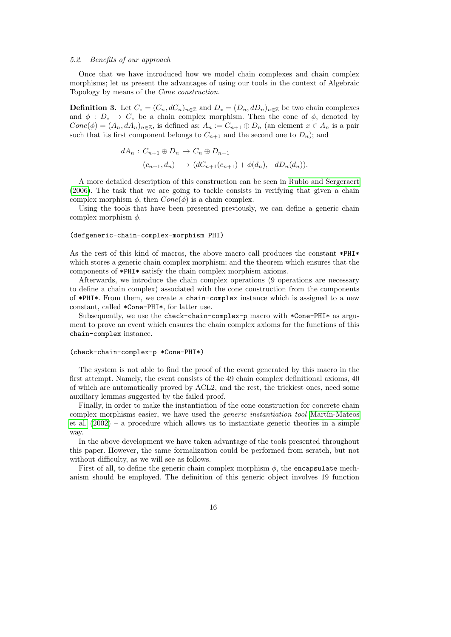#### 5.2. Benefits of our approach

Once that we have introduced how we model chain complexes and chain complex morphisms; let us present the advantages of using our tools in the context of Algebraic Topology by means of the Cone construction.

**Definition 3.** Let  $C_* = (C_n, dC_n)_{n \in \mathbb{Z}}$  and  $D_* = (D_n, dD_n)_{n \in \mathbb{Z}}$  be two chain complexes and  $\phi : D_* \to C_*$  be a chain complex morphism. Then the cone of  $\phi$ , denoted by  $Cone(\phi) = (A_n, dA_n)_{n \in \mathbb{Z}}$ , is defined as:  $A_n := C_{n+1} \oplus D_n$  (an element  $x \in A_n$  is a pair such that its first component belongs to  $C_{n+1}$  and the second one to  $D_n$ ); and

$$
dA_n : C_{n+1} \oplus D_n \to C_n \oplus D_{n-1}
$$
  

$$
(c_{n+1}, d_n) \mapsto (dC_{n+1}(c_{n+1}) + \phi(d_n), -dD_n(d_n)).
$$

A more detailed description of this construction can be seen in [Rubio and Sergeraert](#page-23-8) [\(2006\)](#page-23-8). The task that we are going to tackle consists in verifying that given a chain complex morphism  $\phi$ , then  $Cone(\phi)$  is a chain complex.

Using the tools that have been presented previously, we can define a generic chain complex morphism  $\phi$ .

#### (defgeneric-chain-complex-morphism PHI)

As the rest of this kind of macros, the above macro call produces the constant \*PHI\* which stores a generic chain complex morphism; and the theorem which ensures that the components of \*PHI\* satisfy the chain complex morphism axioms.

Afterwards, we introduce the chain complex operations (9 operations are necessary to define a chain complex) associated with the cone construction from the components of \*PHI\*. From them, we create a chain-complex instance which is assigned to a new constant, called \*Cone-PHI\*, for latter use.

Subsequently, we use the check-chain-complex-p macro with \*Cone-PHI\* as argument to prove an event which ensures the chain complex axioms for the functions of this chain-complex instance.

### (check-chain-complex-p \*Cone-PHI\*)

The system is not able to find the proof of the event generated by this macro in the first attempt. Namely, the event consists of the 49 chain complex definitional axioms, 40 of which are automatically proved by ACL2, and the rest, the trickiest ones, need some auxiliary lemmas suggested by the failed proof.

Finally, in order to make the instantiation of the cone construction for concrete chain complex morphisms easier, we have used the *generic instantiation tool* Martín-Mateos [et al.](#page-23-9)  $(2002)$  – a procedure which allows us to instantiate generic theories in a simple way.

In the above development we have taken advantage of the tools presented throughout this paper. However, the same formalization could be performed from scratch, but not without difficulty, as we will see as follows.

First of all, to define the generic chain complex morphism  $\phi$ , the encapsulate mechanism should be employed. The definition of this generic object involves 19 function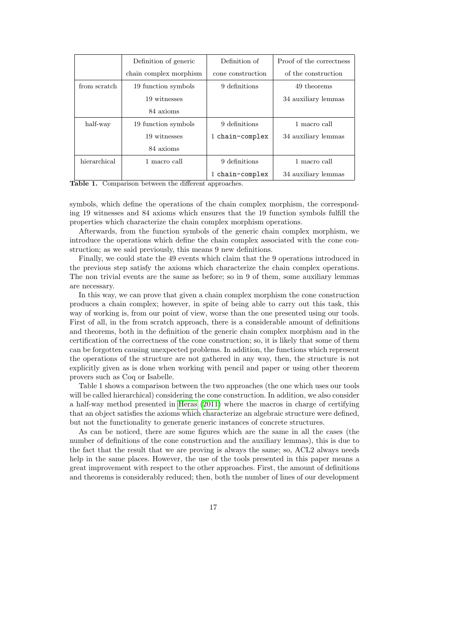|              | Definition of generic  | Definition of     | Proof of the correctness |
|--------------|------------------------|-------------------|--------------------------|
|              | chain complex morphism | cone construction | of the construction      |
| from scratch | 19 function symbols    | 9 definitions     | 49 theorems              |
|              | 19 witnesses           |                   | 34 auxiliary lemmas      |
|              | 84 axioms              |                   |                          |
| half-way     | 19 function symbols    | 9 definitions     | 1 macro call             |
|              | 19 witnesses           | 1 chain-complex   | 34 auxiliary lemmas      |
|              | 84 axioms              |                   |                          |
| hierarchical | 1 macro call           | 9 definitions     | 1 macro call             |
|              |                        | 1 chain-complex   | 34 auxiliary lemmas      |

Table 1. Comparison between the different approaches.

symbols, which define the operations of the chain complex morphism, the corresponding 19 witnesses and 84 axioms which ensures that the 19 function symbols fulfill the properties which characterize the chain complex morphism operations.

Afterwards, from the function symbols of the generic chain complex morphism, we introduce the operations which define the chain complex associated with the cone construction; as we said previously, this means 9 new definitions.

Finally, we could state the 49 events which claim that the 9 operations introduced in the previous step satisfy the axioms which characterize the chain complex operations. The non trivial events are the same as before; so in 9 of them, some auxiliary lemmas are necessary.

In this way, we can prove that given a chain complex morphism the cone construction produces a chain complex; however, in spite of being able to carry out this task, this way of working is, from our point of view, worse than the one presented using our tools. First of all, in the from scratch approach, there is a considerable amount of definitions and theorems, both in the definition of the generic chain complex morphism and in the certification of the correctness of the cone construction; so, it is likely that some of them can be forgotten causing unexpected problems. In addition, the functions which represent the operations of the structure are not gathered in any way, then, the structure is not explicitly given as is done when working with pencil and paper or using other theorem provers such as Coq or Isabelle.

Table 1 shows a comparison between the two approaches (the one which uses our tools will be called hierarchical) considering the cone construction. In addition, we also consider a half-way method presented in [Heras](#page-22-8) [\(2011\)](#page-22-8) where the macros in charge of certifying that an object satisfies the axioms which characterize an algebraic structure were defined, but not the functionality to generate generic instances of concrete structures.

As can be noticed, there are some figures which are the same in all the cases (the number of definitions of the cone construction and the auxiliary lemmas), this is due to the fact that the result that we are proving is always the same; so, ACL2 always needs help in the same places. However, the use of the tools presented in this paper means a great improvement with respect to the other approaches. First, the amount of definitions and theorems is considerably reduced; then, both the number of lines of our development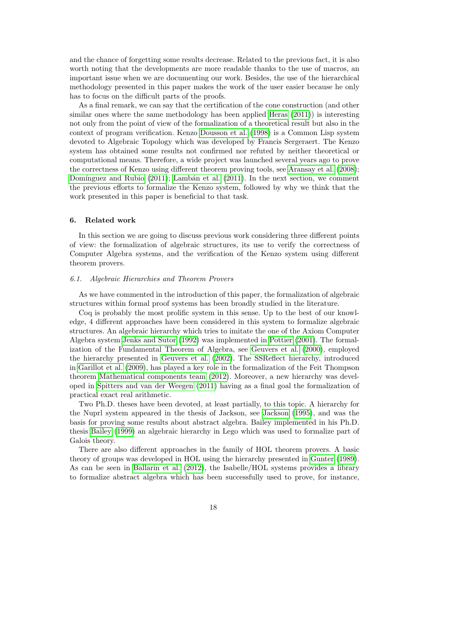and the chance of forgetting some results decrease. Related to the previous fact, it is also worth noting that the developments are more readable thanks to the use of macros, an important issue when we are documenting our work. Besides, the use of the hierarchical methodology presented in this paper makes the work of the user easier because he only has to focus on the difficult parts of the proofs.

As a final remark, we can say that the certification of the cone construction (and other similar ones where the same methodology has been applied [Heras](#page-22-8) [\(2011\)](#page-22-8)) is interesting not only from the point of view of the formalization of a theoretical result but also in the context of program verification. Kenzo [Dousson et al.](#page-22-9) [\(1998\)](#page-22-9) is a Common Lisp system devoted to Algebraic Topology which was developed by Francis Sergeraert. The Kenzo system has obtained some results not confirmed nor refuted by neither theoretical or computational means. Therefore, a wide project was launched several years ago to prove the correctness of Kenzo using different theorem proving tools, see [Aransay et al.](#page-21-3) [\(2008\)](#page-21-3); Domínguez and Rubio [\(2011\)](#page-23-10); Lambán et al. (2011). In the next section, we comment the previous efforts to formalize the Kenzo system, followed by why we think that the work presented in this paper is beneficial to that task.

### 6. Related work

In this section we are going to discuss previous work considering three different points of view: the formalization of algebraic structures, its use to verify the correctness of Computer Algebra systems, and the verification of the Kenzo system using different theorem provers.

#### 6.1. Algebraic Hierarchies and Theorem Provers

As we have commented in the introduction of this paper, the formalization of algebraic structures within formal proof systems has been broadly studied in the literature.

Coq is probably the most prolific system in this sense. Up to the best of our knowledge, 4 different approaches have been considered in this system to formalize algebraic structures. An algebraic hierarchy which tries to imitate the one of the Axiom Computer Algebra system [Jenks and Sutor](#page-22-11) [\(1992\)](#page-22-11) was implemented in [Pottier](#page-23-11) [\(2001\)](#page-23-11). The formalization of the Fundamental Theorem of Algebra, see [Geuvers et al.](#page-22-12) [\(2000\)](#page-22-12), employed the hierarchy presented in [Geuvers et al.](#page-22-0) [\(2002\)](#page-22-0). The SSReflect hierarchy, introduced in [Garillot et al.](#page-22-1) [\(2009\)](#page-22-1), has played a key role in the formalization of the Feit Thompson theorem [Mathematical components team](#page-23-0) [\(2012\)](#page-23-0). Moreover, a new hierarchy was developed in [Spitters and van der Weegen](#page-24-0) [\(2011\)](#page-24-0) having as a final goal the formalization of practical exact real arithmetic.

Two Ph.D. theses have been devoted, at least partially, to this topic. A hierarchy for the Nuprl system appeared in the thesis of Jackson, see [Jackson](#page-22-3) [\(1995\)](#page-22-3), and was the basis for proving some results about abstract algebra. Bailey implemented in his Ph.D. thesis [Bailey](#page-21-0) [\(1999\)](#page-21-0) an algebraic hierarchy in Lego which was used to formalize part of Galois theory.

There are also different approaches in the family of HOL theorem provers. A basic theory of groups was developed in HOL using the hierarchy presented in [Gunter](#page-22-13) [\(1989\)](#page-22-13). As can be seen in [Ballarin et al.](#page-21-4) [\(2012\)](#page-21-4), the Isabelle/HOL systems provides a library to formalize abstract algebra which has been successfully used to prove, for instance,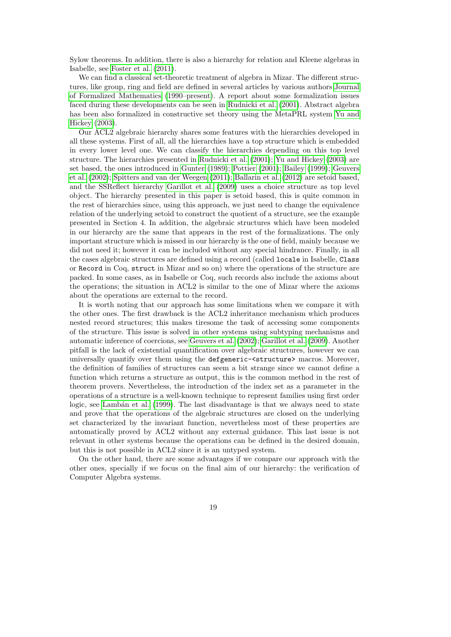Sylow theorems. In addition, there is also a hierarchy for relation and Kleene algebras in Isabelle, see [Foster et al.](#page-22-2) [\(2011\)](#page-22-2).

We can find a classical set-theoretic treatment of algebra in Mizar. The different structures, like group, ring and field are defined in several articles by various authors [Journal](#page-22-14) [of Formalized Mathematics](#page-22-14) [\(1990–present\)](#page-22-14). A report about some formalization issues faced during these developments can be seen in [Rudnicki et al.](#page-24-1) [\(2001\)](#page-24-1). Abstract algebra has been also formalized in constructive set theory using the MetaPRL system [Yu and](#page-24-3) [Hickey](#page-24-3) [\(2003\)](#page-24-3).

Our ACL2 algebraic hierarchy shares some features with the hierarchies developed in all these systems. First of all, all the hierarchies have a top structure which is embedded in every lower level one. We can classify the hierarchies depending on this top level structure. The hierarchies presented in [Rudnicki et al.](#page-24-1) [\(2001\)](#page-24-1); [Yu and Hickey](#page-24-3) [\(2003\)](#page-24-3) are set based, the ones introduced in [Gunter](#page-22-13) [\(1989\)](#page-22-13); [Pottier](#page-23-11) [\(2001\)](#page-23-11); [Bailey](#page-21-0) [\(1999\)](#page-21-0); [Geuvers](#page-22-0) [et al.](#page-22-0) [\(2002\)](#page-22-0); [Spitters and van der Weegen](#page-24-0) [\(2011\)](#page-24-0); [Ballarin et al.](#page-21-4) [\(2012\)](#page-21-4) are setoid based, and the SSReflect hierarchy [Garillot et al.](#page-22-1) [\(2009\)](#page-22-1) uses a choice structure as top level object. The hierarchy presented in this paper is setoid based, this is quite common in the rest of hierarchies since, using this approach, we just need to change the equivalence relation of the underlying setoid to construct the quotient of a structure, see the example presented in Section 4. In addition, the algebraic structures which have been modeled in our hierarchy are the same that appears in the rest of the formalizations. The only important structure which is missed in our hierarchy is the one of field, mainly because we did not need it; however it can be included without any special hindrance. Finally, in all the cases algebraic structures are defined using a record (called locale in Isabelle, Class or Record in Coq, struct in Mizar and so on) where the operations of the structure are packed. In some cases, as in Isabelle or Coq, such records also include the axioms about the operations; the situation in ACL2 is similar to the one of Mizar where the axioms about the operations are external to the record.

It is worth noting that our approach has some limitations when we compare it with the other ones. The first drawback is the ACL2 inheritance mechanism which produces nested record structures; this makes tiresome the task of accessing some components of the structure. This issue is solved in other systems using subtyping mechanisms and automatic inference of coercions, see [Geuvers et al.](#page-22-0) [\(2002\)](#page-22-0); [Garillot et al.](#page-22-1) [\(2009\)](#page-22-1). Another pitfall is the lack of existential quantification over algebraic structures, however we can universally quantify over them using the defgeneric-<structure> macros. Moreover, the definition of families of structures can seem a bit strange since we cannot define a function which returns a structure as output, this is the common method in the rest of theorem provers. Nevertheless, the introduction of the index set as a parameter in the operations of a structure is a well-known technique to represent families using first order logic, see Lambán et al. [\(1999\)](#page-23-12). The last disadvantage is that we always need to state and prove that the operations of the algebraic structures are closed on the underlying set characterized by the invariant function, nevertheless most of these properties are automatically proved by ACL2 without any external guidance. This last issue is not relevant in other systems because the operations can be defined in the desired domain, but this is not possible in ACL2 since it is an untyped system.

On the other hand, there are some advantages if we compare our approach with the other ones, specially if we focus on the final aim of our hierarchy: the verification of Computer Algebra systems.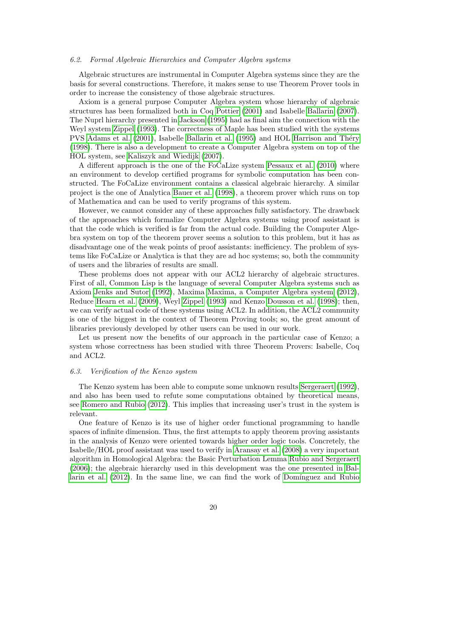#### 6.2. Formal Algebraic Hierarchies and Computer Algebra systems

Algebraic structures are instrumental in Computer Algebra systems since they are the basis for several constructions. Therefore, it makes sense to use Theorem Prover tools in order to increase the consistency of those algebraic structures.

Axiom is a general purpose Computer Algebra system whose hierarchy of algebraic structures has been formalized both in Coq [Pottier](#page-23-11) [\(2001\)](#page-23-11) and Isabelle [Ballarin](#page-21-5) [\(2007\)](#page-21-5). The Nuprl hierarchy presented in [Jackson](#page-22-3) [\(1995\)](#page-22-3) had as final aim the connection with the Weyl system [Zippel](#page-24-4) [\(1993\)](#page-24-4). The correctness of Maple has been studied with the systems PVS [Adams et al.](#page-21-6) [\(2001\)](#page-21-6), Isabelle [Ballarin et al.](#page-21-7) [\(1995\)](#page-21-7) and HOL Harrison and Théry [\(1998\)](#page-22-15). There is also a development to create a Computer Algebra system on top of the HOL system, see [Kaliszyk and Wiedijk](#page-22-16) [\(2007\)](#page-22-16).

A different approach is the one of the FoCaLize system [Pessaux et al.](#page-23-13) [\(2010\)](#page-23-13) where an environment to develop certified programs for symbolic computation has been constructed. The FoCaLize environment contains a classical algebraic hierarchy. A similar project is the one of Analytica [Bauer et al.](#page-21-8) [\(1998\)](#page-21-8), a theorem prover which runs on top of Mathematica and can be used to verify programs of this system.

However, we cannot consider any of these approaches fully satisfactory. The drawback of the approaches which formalize Computer Algebra systems using proof assistant is that the code which is verified is far from the actual code. Building the Computer Algebra system on top of the theorem prover seems a solution to this problem, but it has as disadvantage one of the weak points of proof assistants: inefficiency. The problem of systems like FoCaLize or Analytica is that they are ad hoc systems; so, both the community of users and the libraries of results are small.

These problems does not appear with our ACL2 hierarchy of algebraic structures. First of all, Common Lisp is the language of several Computer Algebra systems such as Axiom [Jenks and Sutor](#page-22-11) [\(1992\)](#page-22-11), Maxima [Maxima, a Computer Algebra system](#page-23-14) [\(2012\)](#page-23-14), Reduce [Hearn et al.](#page-22-17) [\(2009\)](#page-22-17), Weyl [Zippel](#page-24-4) [\(1993\)](#page-24-4) and Kenzo [Dousson et al.](#page-22-9) [\(1998\)](#page-22-9); then, we can verify actual code of these systems using ACL2. In addition, the ACL2 community is one of the biggest in the context of Theorem Proving tools; so, the great amount of libraries previously developed by other users can be used in our work.

Let us present now the benefits of our approach in the particular case of Kenzo; a system whose correctness has been studied with three Theorem Provers: Isabelle, Coq and ACL2.

#### 6.3. Verification of the Kenzo system

The Kenzo system has been able to compute some unknown results [Sergeraert](#page-24-5) [\(1992\)](#page-24-5), and also has been used to refute some computations obtained by theoretical means, see [Romero and Rubio](#page-23-15) [\(2012\)](#page-23-15). This implies that increasing user's trust in the system is relevant.

One feature of Kenzo is its use of higher order functional programming to handle spaces of infinite dimension. Thus, the first attempts to apply theorem proving assistants in the analysis of Kenzo were oriented towards higher order logic tools. Concretely, the Isabelle/HOL proof assistant was used to verify in [Aransay et al.](#page-21-3) [\(2008\)](#page-21-3) a very important algorithm in Homological Algebra: the Basic Perturbation Lemma [Rubio and Sergeraert](#page-23-8) [\(2006\)](#page-23-8); the algebraic hierarchy used in this development was the one presented in [Bal](#page-21-4)[larin et al.](#page-21-4)  $(2012)$ . In the same line, we can find the work of Domínguez and Rubio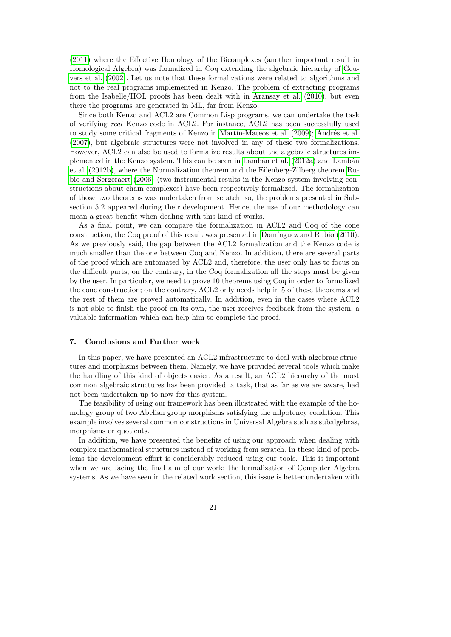[\(2011\)](#page-22-10) where the Effective Homology of the Bicomplexes (another important result in Homological Algebra) was formalized in Coq extending the algebraic hierarchy of [Geu](#page-22-0)[vers et al.](#page-22-0) [\(2002\)](#page-22-0). Let us note that these formalizations were related to algorithms and not to the real programs implemented in Kenzo. The problem of extracting programs from the Isabelle/HOL proofs has been dealt with in [Aransay et al.](#page-21-9) [\(2010\)](#page-21-9), but even there the programs are generated in ML, far from Kenzo.

Since both Kenzo and ACL2 are Common Lisp programs, we can undertake the task of verifying real Kenzo code in ACL2. For instance, ACL2 has been successfully used to study some critical fragments of Kenzo in Martín-Mateos et al. [\(2009\)](#page-23-16); Andrés et al. [\(2007\)](#page-21-10), but algebraic structures were not involved in any of these two formalizations. However, ACL2 can also be used to formalize results about the algebraic structures im-plemented in the Kenzo system. This can be seen in Lambán et al. [\(2012a\)](#page-23-17) and Lambán [et al.](#page-23-18) [\(2012b\)](#page-23-18), where the Normalization theorem and the Eilenberg-Zilberg theorem [Ru](#page-23-8)[bio and Sergeraert](#page-23-8) [\(2006\)](#page-23-8) (two instrumental results in the Kenzo system involving constructions about chain complexes) have been respectively formalized. The formalization of those two theorems was undertaken from scratch; so, the problems presented in Subsection 5.2 appeared during their development. Hence, the use of our methodology can mean a great benefit when dealing with this kind of works.

As a final point, we can compare the formalization in ACL2 and Coq of the cone construction, the Coq proof of this result was presented in Domínguez and Rubio [\(2010\)](#page-22-18). As we previously said, the gap between the ACL2 formalization and the Kenzo code is much smaller than the one between Coq and Kenzo. In addition, there are several parts of the proof which are automated by ACL2 and, therefore, the user only has to focus on the difficult parts; on the contrary, in the Coq formalization all the steps must be given by the user. In particular, we need to prove 10 theorems using Coq in order to formalized the cone construction; on the contrary, ACL2 only needs help in 5 of those theorems and the rest of them are proved automatically. In addition, even in the cases where ACL2 is not able to finish the proof on its own, the user receives feedback from the system, a valuable information which can help him to complete the proof.

#### 7. Conclusions and Further work

In this paper, we have presented an ACL2 infrastructure to deal with algebraic structures and morphisms between them. Namely, we have provided several tools which make the handling of this kind of objects easier. As a result, an ACL2 hierarchy of the most common algebraic structures has been provided; a task, that as far as we are aware, had not been undertaken up to now for this system.

The feasibility of using our framework has been illustrated with the example of the homology group of two Abelian group morphisms satisfying the nilpotency condition. This example involves several common constructions in Universal Algebra such as subalgebras, morphisms or quotients.

In addition, we have presented the benefits of using our approach when dealing with complex mathematical structures instead of working from scratch. In these kind of problems the development effort is considerably reduced using our tools. This is important when we are facing the final aim of our work: the formalization of Computer Algebra systems. As we have seen in the related work section, this issue is better undertaken with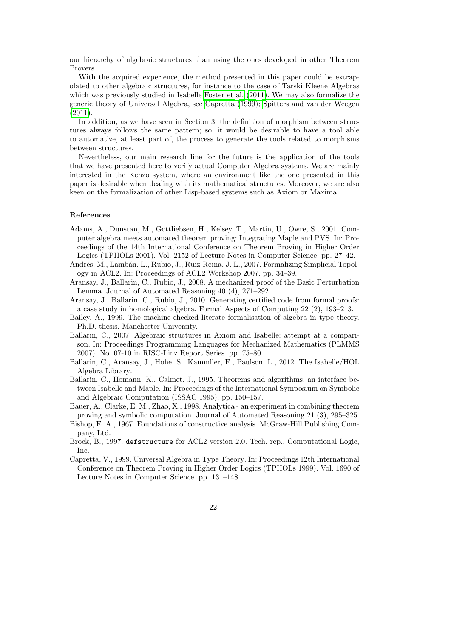our hierarchy of algebraic structures than using the ones developed in other Theorem Provers.

With the acquired experience, the method presented in this paper could be extrapolated to other algebraic structures, for instance to the case of Tarski Kleene Algebras which was previously studied in Isabelle [Foster et al.](#page-22-2) [\(2011\)](#page-22-2). We may also formalize the generic theory of Universal Algebra, see [Capretta](#page-21-11) [\(1999\)](#page-21-11); [Spitters and van der Weegen](#page-24-0) [\(2011\)](#page-24-0).

In addition, as we have seen in Section 3, the definition of morphism between structures always follows the same pattern; so, it would be desirable to have a tool able to automatize, at least part of, the process to generate the tools related to morphisms between structures.

Nevertheless, our main research line for the future is the application of the tools that we have presented here to verify actual Computer Algebra systems. We are mainly interested in the Kenzo system, where an environment like the one presented in this paper is desirable when dealing with its mathematical structures. Moreover, we are also keen on the formalization of other Lisp-based systems such as Axiom or Maxima.

#### References

- <span id="page-21-6"></span>Adams, A., Dunstan, M., Gottliebsen, H., Kelsey, T., Martin, U., Owre, S., 2001. Computer algebra meets automated theorem proving: Integrating Maple and PVS. In: Proceedings of the 14th International Conference on Theorem Proving in Higher Order Logics (TPHOLs 2001). Vol. 2152 of Lecture Notes in Computer Science. pp. 27–42.
- <span id="page-21-10"></span>Andrés, M., Lambán, L., Rubio, J., Ruiz-Reina, J. L., 2007. Formalizing Simplicial Topology in ACL2. In: Proceedings of ACL2 Workshop 2007. pp. 34–39.
- <span id="page-21-3"></span>Aransay, J., Ballarin, C., Rubio, J., 2008. A mechanized proof of the Basic Perturbation Lemma. Journal of Automated Reasoning 40 (4), 271–292.
- <span id="page-21-9"></span>Aransay, J., Ballarin, C., Rubio, J., 2010. Generating certified code from formal proofs: a case study in homological algebra. Formal Aspects of Computing 22 (2), 193–213.
- <span id="page-21-0"></span>Bailey, A., 1999. The machine-checked literate formalisation of algebra in type theory. Ph.D. thesis, Manchester University.
- <span id="page-21-5"></span>Ballarin, C., 2007. Algebraic structures in Axiom and Isabelle: attempt at a comparison. In: Proceedings Programming Languages for Mechanized Mathematics (PLMMS 2007). No. 07-10 in RISC-Linz Report Series. pp. 75–80.
- <span id="page-21-4"></span>Ballarin, C., Aransay, J., Hohe, S., Kammller, F., Paulson, L., 2012. The Isabelle/HOL Algebra Library.
- <span id="page-21-7"></span>Ballarin, C., Homann, K., Calmet, J., 1995. Theorems and algorithms: an interface between Isabelle and Maple. In: Proceedings of the International Symposium on Symbolic and Algebraic Computation (ISSAC 1995). pp. 150–157.
- <span id="page-21-8"></span>Bauer, A., Clarke, E. M., Zhao, X., 1998. Analytica - an experiment in combining theorem proving and symbolic computation. Journal of Automated Reasoning 21 (3), 295–325.
- <span id="page-21-2"></span>Bishop, E. A., 1967. Foundations of constructive analysis. McGraw-Hill Publishing Company, Ltd.
- <span id="page-21-1"></span>Brock, B., 1997. defstructure for ACL2 version 2.0. Tech. rep., Computational Logic, Inc.
- <span id="page-21-11"></span>Capretta, V., 1999. Universal Algebra in Type Theory. In: Proceedings 12th International Conference on Theorem Proving in Higher Order Logics (TPHOLs 1999). Vol. 1690 of Lecture Notes in Computer Science. pp. 131–148.
	- 22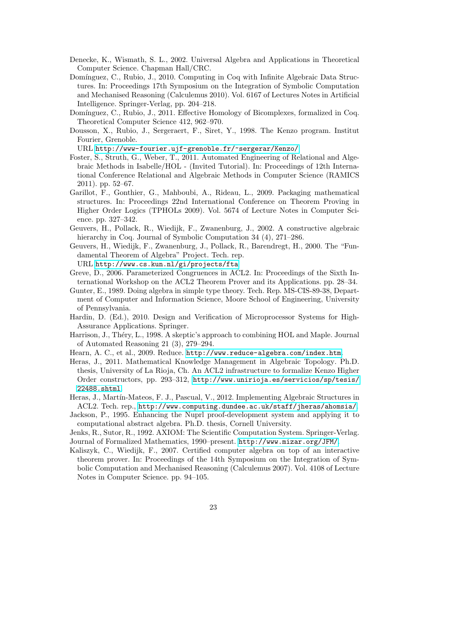- <span id="page-22-7"></span>Denecke, K., Wismath, S. L., 2002. Universal Algebra and Applications in Theoretical Computer Science. Chapman Hall/CRC.
- <span id="page-22-18"></span>Domínguez, C., Rubio, J., 2010. Computing in Coq with Infinite Algebraic Data Structures. In: Proceedings 17th Symposium on the Integration of Symbolic Computation and Mechanised Reasoning (Calculemus 2010). Vol. 6167 of Lectures Notes in Artificial Intelligence. Springer-Verlag, pp. 204–218.
- <span id="page-22-10"></span>Domínguez, C., Rubio, J., 2011. Effective Homology of Bicomplexes, formalized in Coq. Theoretical Computer Science 412, 962–970.
- <span id="page-22-9"></span>Dousson, X., Rubio, J., Sergeraert, F., Siret, Y., 1998. The Kenzo program. Institut Fourier, Grenoble.

URL <http://www-fourier.ujf-grenoble.fr/~sergerar/Kenzo/>

- <span id="page-22-2"></span>Foster, S., Struth, G., Weber, T., 2011. Automated Engineering of Relational and Algebraic Methods in Isabelle/HOL - (Invited Tutorial). In: Proceedings of 12th International Conference Relational and Algebraic Methods in Computer Science (RAMICS 2011). pp. 52–67.
- <span id="page-22-1"></span>Garillot, F., Gonthier, G., Mahboubi, A., Rideau, L., 2009. Packaging mathematical structures. In: Proceedings 22nd International Conference on Theorem Proving in Higher Order Logics (TPHOLs 2009). Vol. 5674 of Lecture Notes in Computer Science. pp. 327–342.
- <span id="page-22-0"></span>Geuvers, H., Pollack, R., Wiedijk, F., Zwanenburg, J., 2002. A constructive algebraic hierarchy in Coq. Journal of Symbolic Computation 34 (4), 271–286.
- <span id="page-22-12"></span>Geuvers, H., Wiedijk, F., Zwanenburg, J., Pollack, R., Barendregt, H., 2000. The "Fundamental Theorem of Algebra" Project. Tech. rep.

URL <http://www.cs.kun.nl/gi/projects/fta>

- <span id="page-22-6"></span>Greve, D., 2006. Parameterized Congruences in ACL2. In: Proceedings of the Sixth International Workshop on the ACL2 Theorem Prover and its Applications. pp. 28–34.
- <span id="page-22-13"></span>Gunter, E., 1989. Doing algebra in simple type theory. Tech. Rep. MS-CIS-89-38, Department of Computer and Information Science, Moore School of Engineering, University of Pennsylvania.
- <span id="page-22-4"></span>Hardin, D. (Ed.), 2010. Design and Verification of Microprocessor Systems for High-Assurance Applications. Springer.
- <span id="page-22-15"></span>Harrison, J., Théry, L., 1998. A skeptic's approach to combining HOL and Maple. Journal of Automated Reasoning 21 (3), 279–294.
- <span id="page-22-17"></span>Hearn, A. C., et al., 2009. Reduce. <http://www.reduce-algebra.com/index.htm>.
- <span id="page-22-8"></span>Heras, J., 2011. Mathematical Knowledge Management in Algebraic Topology. Ph.D. thesis, University of La Rioja, Ch. An ACL2 infrastructure to formalize Kenzo Higher Order constructors, pp. 293–312, [http://www.unirioja.es/servicios/sp/tesis/](http://www.unirioja.es/servicios/sp/tesis/22488.shtml) [22488.shtml](http://www.unirioja.es/servicios/sp/tesis/22488.shtml).
- <span id="page-22-5"></span>Heras, J., Martín-Mateos, F. J., Pascual, V., 2012. Implementing Algebraic Structures in ACL2. Tech. rep., <http://www.computing.dundee.ac.uk/staff/jheras/ahomsia/>.
- <span id="page-22-3"></span>Jackson, P., 1995. Enhancing the Nuprl proof-development system and applying it to computational abstract algebra. Ph.D. thesis, Cornell University.

<span id="page-22-14"></span><span id="page-22-11"></span>Jenks, R., Sutor, R., 1992. AXIOM: The Scientific Computation System. Springer-Verlag. Journal of Formalized Mathematics, 1990–present. <http://www.mizar.org/JFM/>.

<span id="page-22-16"></span>Kaliszyk, C., Wiedijk, F., 2007. Certified computer algebra on top of an interactive theorem prover. In: Proceedings of the 14th Symposium on the Integration of Symbolic Computation and Mechanised Reasoning (Calculemus 2007). Vol. 4108 of Lecture Notes in Computer Science. pp. 94–105.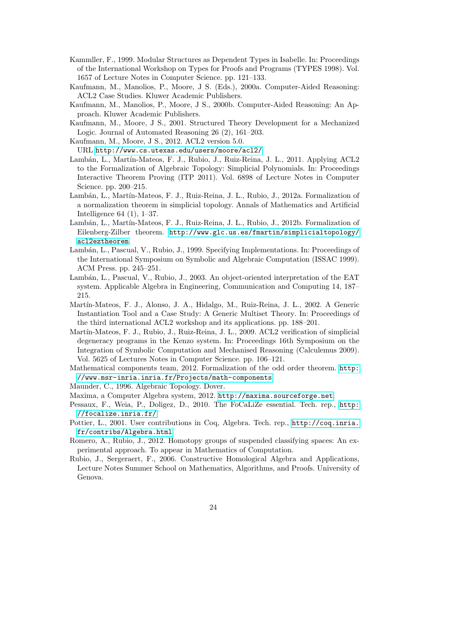- <span id="page-23-1"></span>Kammller, F., 1999. Modular Structures as Dependent Types in Isabelle. In: Proceedings of the International Workshop on Types for Proofs and Programs (TYPES 1998). Vol. 1657 of Lecture Notes in Computer Science. pp. 121–133.
- <span id="page-23-2"></span>Kaufmann, M., Manolios, P., Moore, J S. (Eds.), 2000a. Computer-Aided Reasoning: ACL2 Case Studies. Kluwer Academic Publishers.
- <span id="page-23-3"></span>Kaufmann, M., Manolios, P., Moore, J S., 2000b. Computer-Aided Reasoning: An Approach. Kluwer Academic Publishers.
- <span id="page-23-5"></span>Kaufmann, M., Moore, J S., 2001. Structured Theory Development for a Mechanized Logic. Journal of Automated Reasoning 26 (2), 161–203.
- <span id="page-23-4"></span>Kaufmann, M., Moore, J S., 2012. ACL2 version 5.0.

URL <http://www.cs.utexas.edu/users/moore/acl2/>

- <span id="page-23-10"></span>Lambán, L., Martín-Mateos, F. J., Rubio, J., Ruiz-Reina, J. L., 2011. Applying ACL2 to the Formalization of Algebraic Topology: Simplicial Polynomials. In: Proceedings Interactive Theorem Proving (ITP 2011). Vol. 6898 of Lecture Notes in Computer Science. pp. 200–215.
- <span id="page-23-17"></span>Lambán, L., Martín-Mateos, F. J., Ruiz-Reina, J. L., Rubio, J., 2012a. Formalization of a normalization theorem in simplicial topology. Annals of Mathematics and Artificial Intelligence 64 (1), 1–37.
- <span id="page-23-18"></span>Lambán, L., Martín-Mateos, F. J., Ruiz-Reina, J. L., Rubio, J., 2012b. Formalization of Eilenberg-Zilber theorem. [http://www.glc.us.es/fmartin/simplicialtopology/](http://www.glc.us.es/fmartin/simplicialtopology/acl2eztheorem) [acl2eztheorem](http://www.glc.us.es/fmartin/simplicialtopology/acl2eztheorem).
- <span id="page-23-12"></span>Lambán, L., Pascual, V., Rubio, J., 1999. Specifying Implementations. In: Proceedings of the International Symposium on Symbolic and Algebraic Computation (ISSAC 1999). ACM Press. pp. 245–251.
- <span id="page-23-7"></span>Lambán, L., Pascual, V., Rubio, J., 2003. An object-oriented interpretation of the EAT system. Applicable Algebra in Engineering, Communication and Computing 14, 187– 215.
- <span id="page-23-9"></span>Martín-Mateos, F. J., Alonso, J. A., Hidalgo, M., Ruiz-Reina, J. L., 2002. A Generic Instantiation Tool and a Case Study: A Generic Multiset Theory. In: Proceedings of the third international ACL2 workshop and its applications. pp. 188–201.
- <span id="page-23-16"></span>Martín-Mateos, F. J., Rubio, J., Ruiz-Reina, J. L., 2009. ACL2 verification of simplicial degeneracy programs in the Kenzo system. In: Proceedings 16th Symposium on the Integration of Symbolic Computation and Mechanised Reasoning (Calculemus 2009). Vol. 5625 of Lectures Notes in Computer Science. pp. 106–121.
- <span id="page-23-0"></span>Mathematical components team, 2012. Formalization of the odd order theorem. [http:](http://www.msr-inria.inria.fr/Projects/math-components) [//www.msr-inria.inria.fr/Projects/math-components](http://www.msr-inria.inria.fr/Projects/math-components).

<span id="page-23-6"></span>Maunder, C., 1996. Algebraic Topology. Dover.

- <span id="page-23-14"></span>Maxima, a Computer Algebra system, 2012. <http://maxima.sourceforge.net>.
- <span id="page-23-13"></span>Pessaux, F., Weia, P., Doligez, D., 2010. The FoCaLiZe essential. Tech. rep., [http:](http://focalize.inria.fr/) [//focalize.inria.fr/](http://focalize.inria.fr/).
- <span id="page-23-11"></span>Pottier, L., 2001. User contributions in Coq, Algebra. Tech. rep., [http://coq.inria.](http://coq.inria.fr/contribs/Algebra.html) [fr/contribs/Algebra.html](http://coq.inria.fr/contribs/Algebra.html).
- <span id="page-23-15"></span>Romero, A., Rubio, J., 2012. Homotopy groups of suspended classifying spaces: An experimental approach. To appear in Mathematics of Computation.
- <span id="page-23-8"></span>Rubio, J., Sergeraert, F., 2006. Constructive Homological Algebra and Applications, Lecture Notes Summer School on Mathematics, Algorithms, and Proofs. University of Genova.
	- 24